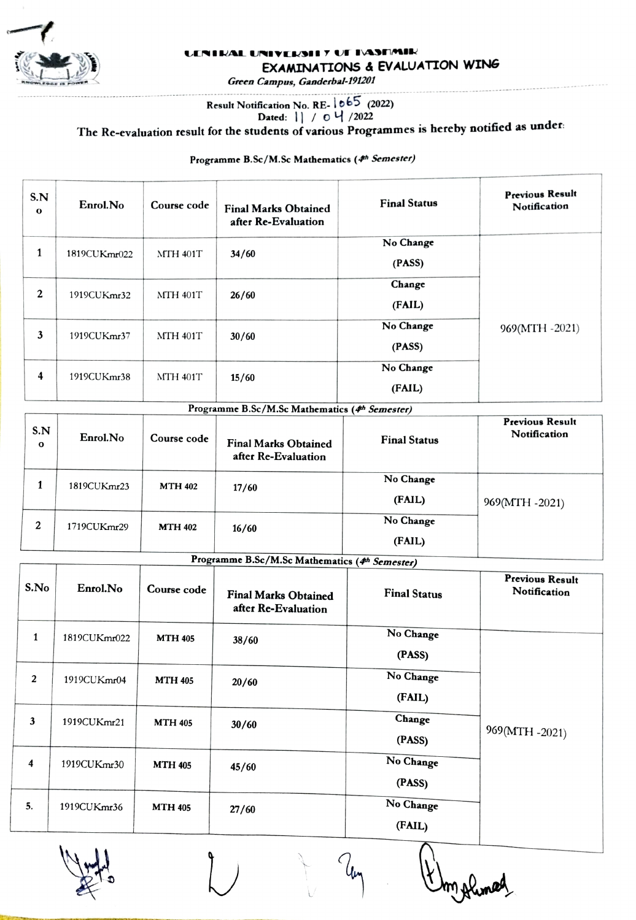

#### ENIRAL UNIVERSII 7 UT IVASTMIR EXAMINATIONS & EVALUATION WING

Green Campus, Ganderbal-191201

# Result Notification No. RE-  $1065$  (2022)<br>Dated:  $1 / 0 4 / 2022$

The Re-evaluation result for the students of various Programmes is hereby notified as under:

Programme B.Sc/M.Sc Mathematics (4h Semester)

| S.N<br>$\mathbf{o}$ | Enrol.No     | Course code     | <b>Final Marks Obtained</b><br>after Re-Evaluation | <b>Final Status</b> | <b>Previous Result</b><br>Notification |
|---------------------|--------------|-----------------|----------------------------------------------------|---------------------|----------------------------------------|
| 1                   | 1819CUKmr022 | <b>MTH 401T</b> | 34/60                                              | No Change<br>(PASS) |                                        |
| 2                   | 1919CUKmr32  | <b>MTH 401T</b> | 26/60                                              | Change<br>(FAIL)    |                                        |
| 3                   | 1919CUKmr37  | <b>MTH 401T</b> | 30/60                                              | No Change<br>(PASS) | 969(MTH-2021)                          |
| 4                   | 1919CUKmr38  | <b>MTH 401T</b> | 15/60                                              | No Change<br>(FAIL) |                                        |

|  |  | Programme B.Sc/M.Sc Mathematics (4th Semester) |  |
|--|--|------------------------------------------------|--|
|  |  |                                                |  |

| S.N<br>$\mathbf{o}$ | Enrol.No    | Course code    | <b>Final Marks Obtained</b><br>after Re-Evaluation | <b>Final Status</b> | <b>Previous Result</b><br>Notification |
|---------------------|-------------|----------------|----------------------------------------------------|---------------------|----------------------------------------|
|                     | 1819CUKmr23 | <b>MTH 402</b> | 17/60                                              | No Change           |                                        |
|                     |             |                |                                                    | (FAIL)              | 969(MTH -2021)                         |
| 2                   | 1719CUKmr29 | <b>MTH 402</b> | 16/60                                              | No Change           |                                        |
|                     |             |                |                                                    | (FAIL)              |                                        |

Programme B.Sc/M.Sc Mathematics (4th Semester)

| S.No           | Enrol.No     | Course code    | <b>Final Marks Obtained</b><br>after Re-Evaluation | <b>Final Status</b> | <b>Previous Result</b><br>Notification |
|----------------|--------------|----------------|----------------------------------------------------|---------------------|----------------------------------------|
| $\mathbf{1}$   | 1819CUKmr022 | <b>MTH 405</b> | 38/60                                              | No Change<br>(PASS) |                                        |
| $\overline{2}$ | 1919CUKmr04  | <b>MTH 405</b> | 20/60                                              | No Change<br>(FAIL) |                                        |
| $\mathbf{3}$   | 1919CUKmr21  | <b>MTH 405</b> | 30/60                                              | Change<br>(PASS)    | 969(MTH -2021)                         |
| 4              | 1919CUKmr30  | <b>MTH 405</b> | 45/60                                              | No Change<br>(PASS) |                                        |
| 5.             | 1919CUKmr36  | <b>MTH 405</b> | 27/60                                              | No Change<br>(FAIL) |                                        |